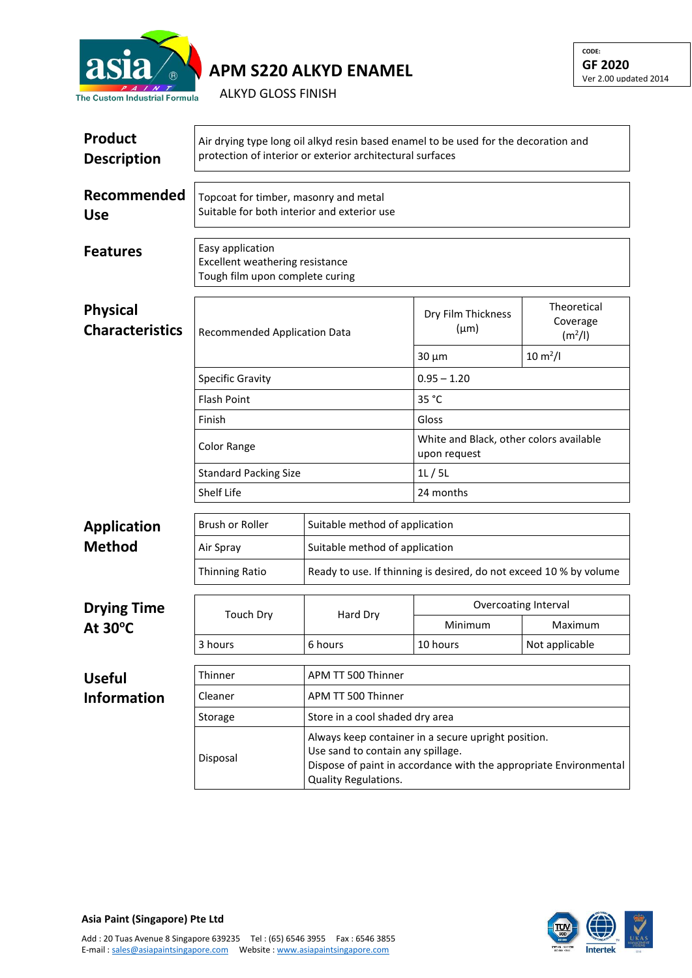

## **APM S220 ALKYD ENAMEL**

ALKYD GLOSS FINISH

| <b>Product</b><br><b>Description</b>      | Air drying type long oil alkyd resin based enamel to be used for the decoration and<br>protection of interior or exterior architectural surfaces |                                                                                                                                                               |                                                         |                                                |  |  |
|-------------------------------------------|--------------------------------------------------------------------------------------------------------------------------------------------------|---------------------------------------------------------------------------------------------------------------------------------------------------------------|---------------------------------------------------------|------------------------------------------------|--|--|
| Recommended<br><b>Use</b>                 | Topcoat for timber, masonry and metal<br>Suitable for both interior and exterior use                                                             |                                                                                                                                                               |                                                         |                                                |  |  |
| <b>Features</b>                           | Easy application<br>Excellent weathering resistance<br>Tough film upon complete curing                                                           |                                                                                                                                                               |                                                         |                                                |  |  |
| <b>Physical</b><br><b>Characteristics</b> | <b>Recommended Application Data</b>                                                                                                              |                                                                                                                                                               | Dry Film Thickness<br>$(\mu m)$                         | Theoretical<br>Coverage<br>(m <sup>2</sup> /I) |  |  |
|                                           |                                                                                                                                                  |                                                                                                                                                               | $30 \mu m$                                              | $10 \, \text{m}^2$ /l                          |  |  |
|                                           | <b>Specific Gravity</b>                                                                                                                          |                                                                                                                                                               | $0.95 - 1.20$                                           |                                                |  |  |
|                                           | <b>Flash Point</b>                                                                                                                               |                                                                                                                                                               | 35 °C                                                   |                                                |  |  |
|                                           | Finish                                                                                                                                           |                                                                                                                                                               | Gloss                                                   |                                                |  |  |
|                                           | <b>Color Range</b><br><b>Standard Packing Size</b><br>Shelf Life                                                                                 |                                                                                                                                                               | White and Black, other colors available<br>upon request |                                                |  |  |
|                                           |                                                                                                                                                  |                                                                                                                                                               | 1L/5L                                                   |                                                |  |  |
|                                           |                                                                                                                                                  |                                                                                                                                                               | 24 months                                               |                                                |  |  |
| <b>Application</b>                        | Brush or Roller                                                                                                                                  | Suitable method of application                                                                                                                                |                                                         |                                                |  |  |
| <b>Method</b>                             | Air Spray                                                                                                                                        | Suitable method of application                                                                                                                                |                                                         |                                                |  |  |
|                                           | <b>Thinning Ratio</b>                                                                                                                            | Ready to use. If thinning is desired, do not exceed 10 % by volume                                                                                            |                                                         |                                                |  |  |
| <b>Drying Time</b><br>At $30^{\circ}$ C   | <b>Touch Dry</b>                                                                                                                                 | Hard Dry                                                                                                                                                      | Overcoating Interval                                    |                                                |  |  |
|                                           |                                                                                                                                                  |                                                                                                                                                               | Minimum                                                 | Maximum                                        |  |  |
|                                           | 3 hours                                                                                                                                          | 6 hours                                                                                                                                                       | 10 hours                                                | Not applicable                                 |  |  |
| <b>Useful</b>                             | Thinner                                                                                                                                          | APM TT 500 Thinner                                                                                                                                            |                                                         |                                                |  |  |
| <b>Information</b>                        | Cleaner                                                                                                                                          | APM TT 500 Thinner                                                                                                                                            |                                                         |                                                |  |  |
|                                           | Storage                                                                                                                                          | Store in a cool shaded dry area                                                                                                                               |                                                         |                                                |  |  |
|                                           | Disposal                                                                                                                                         | Always keep container in a secure upright position.<br>Use sand to contain any spillage.<br>Dispose of paint in accordance with the appropriate Environmental |                                                         |                                                |  |  |

Quality Regulations.



**CODE: GF 2020**

Ver 2.00 updated 2014

**Asia Paint (Singapore) Pte Ltd**